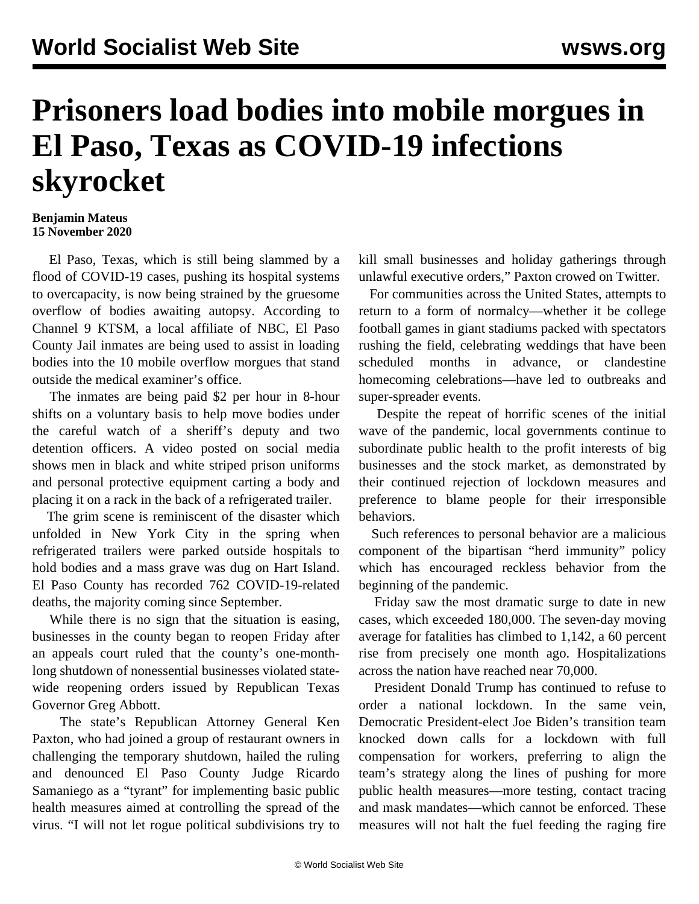## **Prisoners load bodies into mobile morgues in El Paso, Texas as COVID-19 infections skyrocket**

## **Benjamin Mateus 15 November 2020**

 El Paso, Texas, which is still being slammed by a flood of COVID-19 cases, pushing its hospital systems to overcapacity, is now being strained by the gruesome overflow of bodies awaiting autopsy. According to Channel 9 KTSM, a local affiliate of NBC, El Paso County Jail inmates are being used to assist in loading bodies into the 10 mobile overflow morgues that stand outside the medical examiner's office.

 The inmates are being paid \$2 per hour in 8-hour shifts on a voluntary basis to help move bodies under the careful watch of a sheriff's deputy and two detention officers. A video [posted](https://twitter.com/DrEricDing/status/1327836536424042498) on social media shows men in black and white striped prison uniforms and personal protective equipment carting a body and placing it on a rack in the back of a refrigerated trailer.

 The grim scene is reminiscent of the disaster which unfolded in New York City in the spring when refrigerated trailers were parked outside hospitals to hold bodies and a mass grave was dug on Hart Island. El Paso County has recorded 762 COVID-19-related deaths, the majority coming since September.

 While there is no sign that the situation is easing, businesses in the county began to reopen Friday after an appeals court ruled that the county's one-monthlong shutdown of nonessential businesses violated statewide reopening orders issued by Republican Texas Governor Greg Abbott.

 The state's Republican Attorney General Ken Paxton, who had joined a group of restaurant owners in challenging the temporary shutdown, hailed the ruling and denounced El Paso County Judge Ricardo Samaniego as a "tyrant" for implementing basic public health measures aimed at controlling the spread of the virus. "I will not let rogue political subdivisions try to

kill small businesses and holiday gatherings through unlawful executive orders," Paxton crowed on Twitter.

 For communities across the United States, attempts to return to a form of normalcy—whether it be college football games in giant stadiums packed with spectators rushing the field, celebrating weddings that have been scheduled months in advance, or clandestine homecoming celebrations—have led to outbreaks and super-spreader events.

 Despite the repeat of horrific scenes of the initial wave of the pandemic, local governments continue to subordinate public health to the profit interests of big businesses and the stock market, as demonstrated by their continued rejection of lockdown measures and preference to blame people for their irresponsible behaviors.

 Such references to personal behavior are a malicious component of the bipartisan "herd immunity" policy which has encouraged reckless behavior from the beginning of the pandemic.

 Friday saw the most dramatic surge to date in new cases, which exceeded 180,000. The seven-day moving average for fatalities has climbed to 1,142, a 60 percent rise from precisely one month ago. Hospitalizations across the nation have reached near 70,000.

 President Donald Trump has continued to refuse to order a national lockdown. In the same vein, Democratic President-elect Joe Biden's transition team knocked down calls for a lockdown with full compensation for workers, preferring to align the team's strategy along the lines of pushing for more public health measures—more testing, contact tracing and mask mandates—which cannot be enforced. These measures will not halt the fuel feeding the raging fire